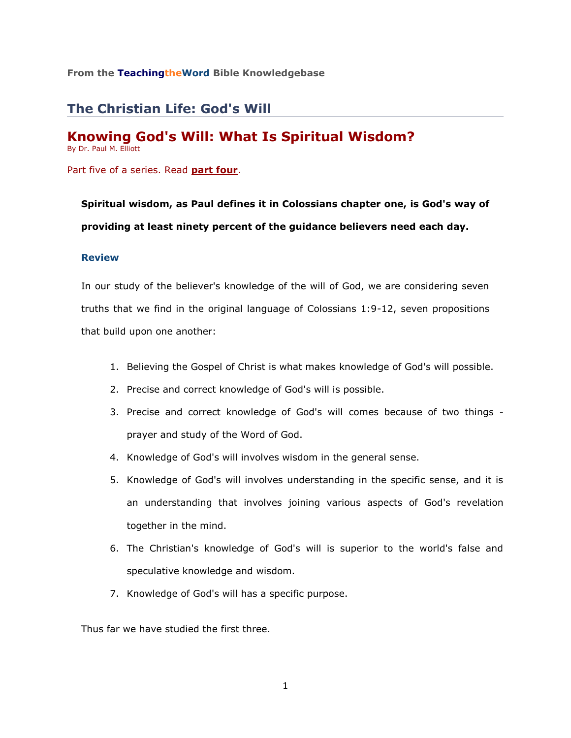## **From the TeachingtheWord Bible Knowledgebase**

# **The Christian Life: God's Will**

# **Knowing God's Will: What Is Spiritual Wisdom?**

By Dr. Paul M. Elliott

Part five of a series. Read **[part four](http://www.teachingtheword.org/apps/articles/default.asp?articleid=71394&columnid=5437)**.

**Spiritual wisdom, as Paul defines it in Colossians chapter one, is God's way of providing at least ninety percent of the guidance believers need each day.**

#### **Review**

In our study of the believer's knowledge of the will of God, we are considering seven truths that we find in the original language of Colossians 1:9-12, seven propositions that build upon one another:

- 1. Believing the Gospel of Christ is what makes knowledge of God's will possible.
- 2. Precise and correct knowledge of God's will is possible.
- 3. Precise and correct knowledge of God's will comes because of two things prayer and study of the Word of God.
- 4. Knowledge of God's will involves wisdom in the general sense.
- 5. Knowledge of God's will involves understanding in the specific sense, and it is an understanding that involves joining various aspects of God's revelation together in the mind.
- 6. The Christian's knowledge of God's will is superior to the world's false and speculative knowledge and wisdom.
- 7. Knowledge of God's will has a specific purpose.

Thus far we have studied the first three.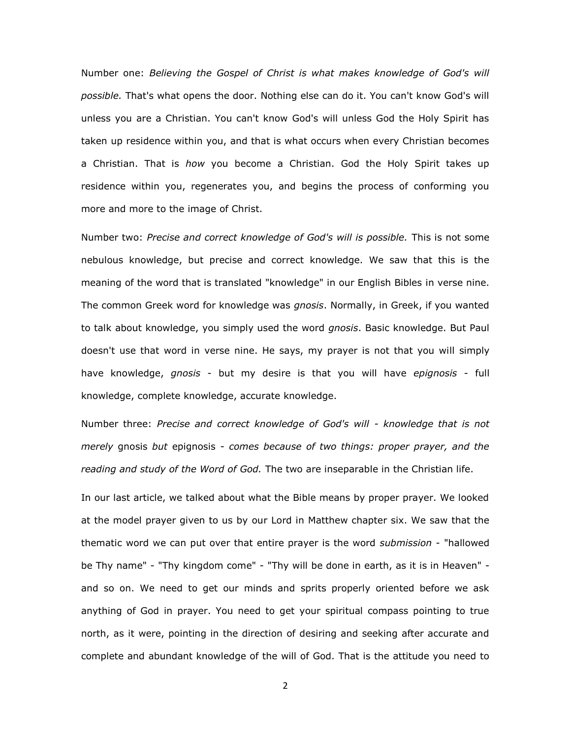Number one: *Believing the Gospel of Christ is what makes knowledge of God's will possible.* That's what opens the door. Nothing else can do it. You can't know God's will unless you are a Christian. You can't know God's will unless God the Holy Spirit has taken up residence within you, and that is what occurs when every Christian becomes a Christian. That is *how* you become a Christian. God the Holy Spirit takes up residence within you, regenerates you, and begins the process of conforming you more and more to the image of Christ.

Number two: *Precise and correct knowledge of God's will is possible.* This is not some nebulous knowledge, but precise and correct knowledge. We saw that this is the meaning of the word that is translated "knowledge" in our English Bibles in verse nine. The common Greek word for knowledge was *gnosis*. Normally, in Greek, if you wanted to talk about knowledge, you simply used the word *gnosis*. Basic knowledge. But Paul doesn't use that word in verse nine. He says, my prayer is not that you will simply have knowledge, *gnosis* - but my desire is that you will have *epignosis* - full knowledge, complete knowledge, accurate knowledge.

Number three: *Precise and correct knowledge of God's will - knowledge that is not merely* gnosis *but* epignosis *- comes because of two things: proper prayer, and the reading and study of the Word of God.* The two are inseparable in the Christian life.

In our last article, we talked about what the Bible means by proper prayer. We looked at the model prayer given to us by our Lord in Matthew chapter six. We saw that the thematic word we can put over that entire prayer is the word *submission* - "hallowed be Thy name" - "Thy kingdom come" - "Thy will be done in earth, as it is in Heaven" and so on. We need to get our minds and sprits properly oriented before we ask anything of God in prayer. You need to get your spiritual compass pointing to true north, as it were, pointing in the direction of desiring and seeking after accurate and complete and abundant knowledge of the will of God. That is the attitude you need to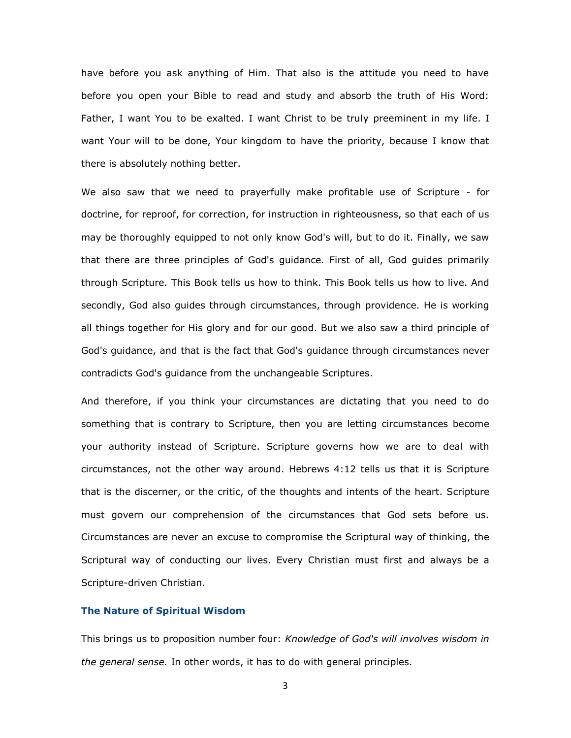have before you ask anything of Him. That also is the attitude you need to have before you open your Bible to read and study and absorb the truth of His Word: Father, I want You to be exalted. I want Christ to be truly preeminent in my life. I want Your will to be done, Your kingdom to have the priority, because I know that there is absolutely nothing better.

We also saw that we need to prayerfully make profitable use of Scripture - for doctrine, for reproof, for correction, for instruction in righteousness, so that each of us may be thoroughly equipped to not only know God's will, but to do it. Finally, we saw that there are three principles of God's guidance. First of all, God guides primarily through Scripture. This Book tells us how to think. This Book tells us how to live. And secondly, God also guides through circumstances, through providence. He is working all things together for His glory and for our good. But we also saw a third principle of God's guidance, and that is the fact that God's guidance through circumstances never contradicts God's guidance from the unchangeable Scriptures.

And therefore, if you think your circumstances are dictating that you need to do something that is contrary to Scripture, then you are letting circumstances become your authority instead of Scripture. Scripture governs how we are to deal with circumstances, not the other way around. Hebrews 4:12 tells us that it is Scripture that is the discerner, or the critic, of the thoughts and intents of the heart. Scripture must govern our comprehension of the circumstances that God sets before us. Circumstances are never an excuse to compromise the Scriptural way of thinking, the Scriptural way of conducting our lives. Every Christian must first and always be a Scripture-driven Christian.

## **The Nature of Spiritual Wisdom**

This brings us to proposition number four: *Knowledge of God's will involves wisdom in the general sense.* In other words, it has to do with general principles.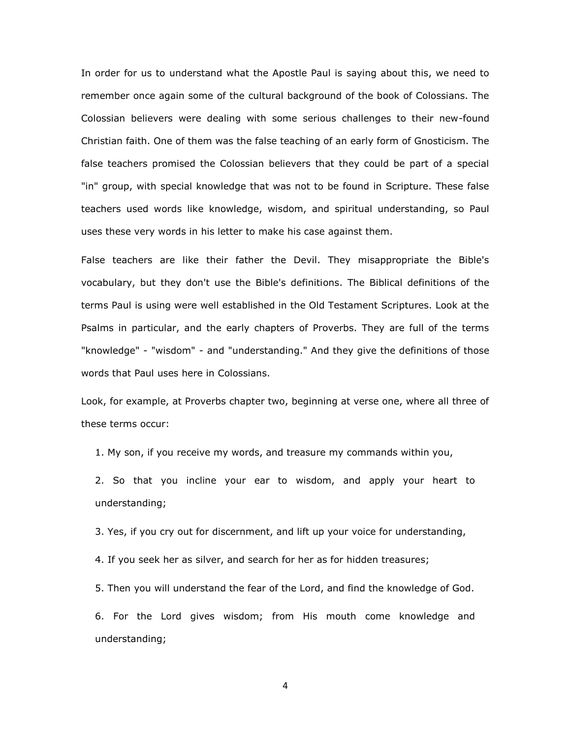In order for us to understand what the Apostle Paul is saying about this, we need to remember once again some of the cultural background of the book of Colossians. The Colossian believers were dealing with some serious challenges to their new-found Christian faith. One of them was the false teaching of an early form of Gnosticism. The false teachers promised the Colossian believers that they could be part of a special "in" group, with special knowledge that was not to be found in Scripture. These false teachers used words like knowledge, wisdom, and spiritual understanding, so Paul uses these very words in his letter to make his case against them.

False teachers are like their father the Devil. They misappropriate the Bible's vocabulary, but they don't use the Bible's definitions. The Biblical definitions of the terms Paul is using were well established in the Old Testament Scriptures. Look at the Psalms in particular, and the early chapters of Proverbs. They are full of the terms "knowledge" - "wisdom" - and "understanding." And they give the definitions of those words that Paul uses here in Colossians.

Look, for example, at Proverbs chapter two, beginning at verse one, where all three of these terms occur:

1. My son, if you receive my words, and treasure my commands within you,

2. So that you incline your ear to wisdom, and apply your heart to understanding;

3. Yes, if you cry out for discernment, and lift up your voice for understanding,

4. If you seek her as silver, and search for her as for hidden treasures;

5. Then you will understand the fear of the Lord, and find the knowledge of God.

6. For the Lord gives wisdom; from His mouth come knowledge and understanding;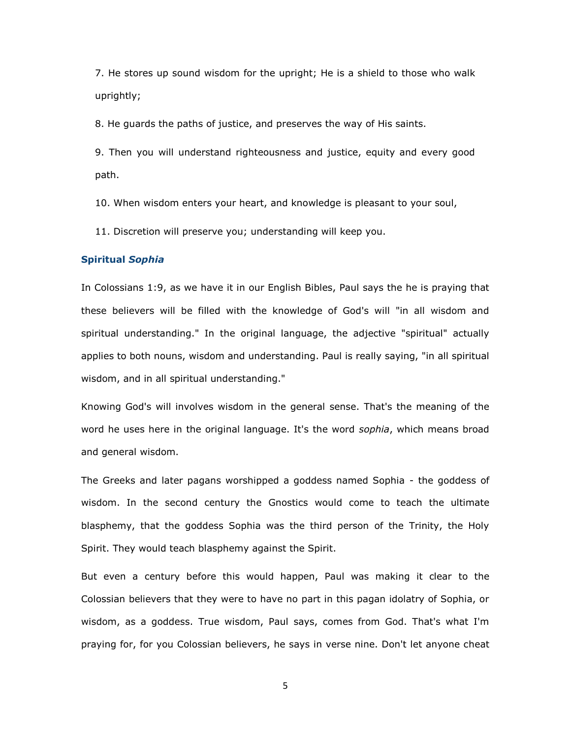7. He stores up sound wisdom for the upright; He is a shield to those who walk uprightly;

8. He guards the paths of justice, and preserves the way of His saints.

9. Then you will understand righteousness and justice, equity and every good path.

10. When wisdom enters your heart, and knowledge is pleasant to your soul,

11. Discretion will preserve you; understanding will keep you.

#### **Spiritual** *Sophia*

In Colossians 1:9, as we have it in our English Bibles, Paul says the he is praying that these believers will be filled with the knowledge of God's will "in all wisdom and spiritual understanding." In the original language, the adjective "spiritual" actually applies to both nouns, wisdom and understanding. Paul is really saying, "in all spiritual wisdom, and in all spiritual understanding."

Knowing God's will involves wisdom in the general sense. That's the meaning of the word he uses here in the original language. It's the word *sophia*, which means broad and general wisdom.

The Greeks and later pagans worshipped a goddess named Sophia - the goddess of wisdom. In the second century the Gnostics would come to teach the ultimate blasphemy, that the goddess Sophia was the third person of the Trinity, the Holy Spirit. They would teach blasphemy against the Spirit.

But even a century before this would happen, Paul was making it clear to the Colossian believers that they were to have no part in this pagan idolatry of Sophia, or wisdom, as a goddess. True wisdom, Paul says, comes from God. That's what I'm praying for, for you Colossian believers, he says in verse nine. Don't let anyone cheat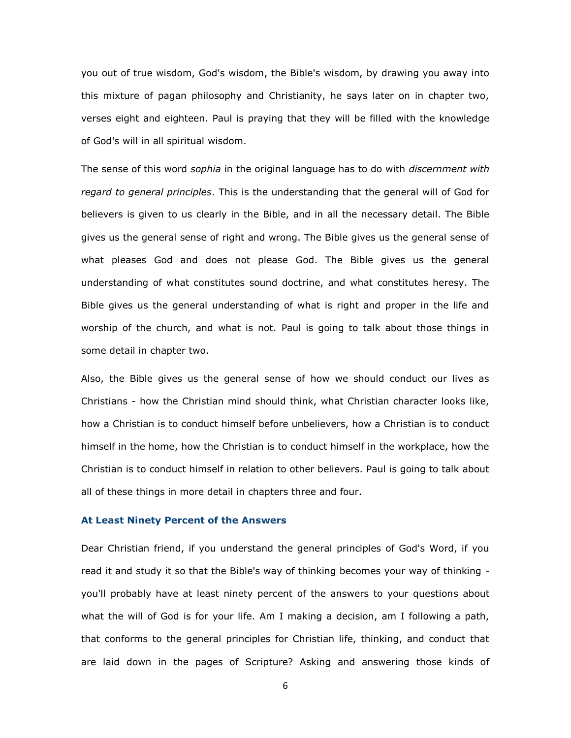you out of true wisdom, God's wisdom, the Bible's wisdom, by drawing you away into this mixture of pagan philosophy and Christianity, he says later on in chapter two, verses eight and eighteen. Paul is praying that they will be filled with the knowledge of God's will in all spiritual wisdom.

The sense of this word *sophia* in the original language has to do with *discernment with regard to general principles*. This is the understanding that the general will of God for believers is given to us clearly in the Bible, and in all the necessary detail. The Bible gives us the general sense of right and wrong. The Bible gives us the general sense of what pleases God and does not please God. The Bible gives us the general understanding of what constitutes sound doctrine, and what constitutes heresy. The Bible gives us the general understanding of what is right and proper in the life and worship of the church, and what is not. Paul is going to talk about those things in some detail in chapter two.

Also, the Bible gives us the general sense of how we should conduct our lives as Christians - how the Christian mind should think, what Christian character looks like, how a Christian is to conduct himself before unbelievers, how a Christian is to conduct himself in the home, how the Christian is to conduct himself in the workplace, how the Christian is to conduct himself in relation to other believers. Paul is going to talk about all of these things in more detail in chapters three and four.

#### **At Least Ninety Percent of the Answers**

Dear Christian friend, if you understand the general principles of God's Word, if you read it and study it so that the Bible's way of thinking becomes your way of thinking you'll probably have at least ninety percent of the answers to your questions about what the will of God is for your life. Am I making a decision, am I following a path, that conforms to the general principles for Christian life, thinking, and conduct that are laid down in the pages of Scripture? Asking and answering those kinds of